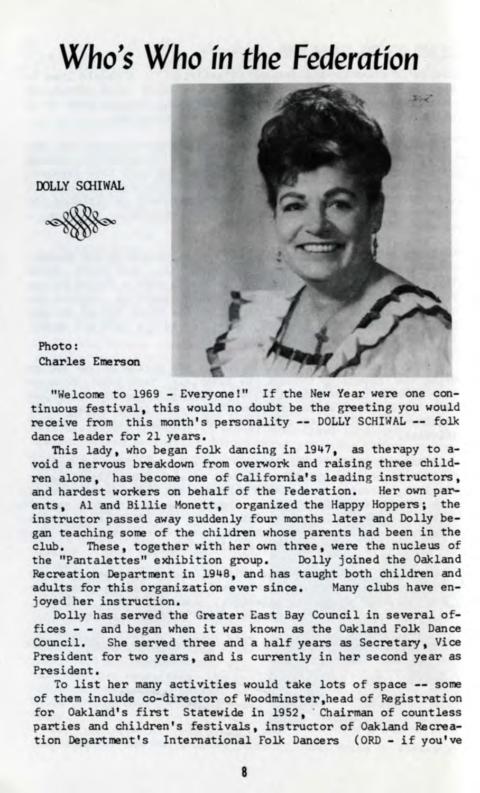## Who's Who *in the Federation*

DOLLY SCHIWAL



Photo: Charles Emerson

"Welcome to 1969 - Everyone!" If the New Year were one continuous festival, this would no doubt be the greeting you would receive from this month's personality — DOLLY SCHIWAL — folk dance leader for 21 years.

This lady, who began folk dancing in 1947, as therapy to avoid a nervous breakdown from overwork and raising three children alone, has become one of California's leading instructors, and hardest workers on behalf of the Federation. Her own parents, Al and Billie Monett, organized the Happy Hoppers; the instructor passed away suddenly four months later and Dolly began teaching some of the children whose parents had been in the club. These, together with her own three, were the nucleus of These, together with her own three, were the nucleus of the "Pantalettes" exhibition group. Dolly joined the Oakland Recreation Department in 1948, and has taught both children and adults for this organization ever since. Many clubs have enjoyed her instruction.

Dolly has served the Greater East Bay Council in several offices - - and began when it was known as the Oakland Folk Dance Council. She served three and a half years as Secretary, Vice President for two years, and is currently in her second year as President.

To list her many activities would take lots of space — some of them include co-director of Woodminster,head of Registration for Oakland's first Statewide in 1952, 'Chairman of countless parties and children's festivals, instructor of Oakland Recreation Department's International Folk Dancers (ORD - if you've